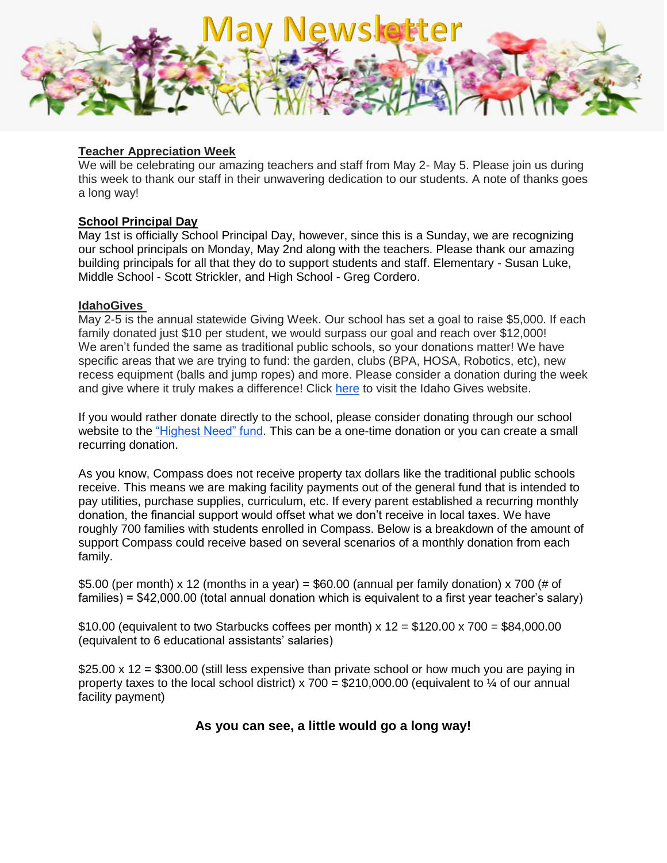

### **Teacher Appreciation Week**

We will be celebrating our amazing teachers and staff from May 2- May 5. Please join us during this week to thank our staff in their unwavering dedication to our students. A note of thanks goes a long way!

### **School Principal Day**

May 1st is officially School Principal Day, however, since this is a Sunday, we are recognizing our school principals on Monday, May 2nd along with the teachers. Please thank our amazing building principals for all that they do to support students and staff. Elementary - Susan Luke, Middle School - Scott Strickler, and High School - Greg Cordero.

#### **IdahoGives**

May 2-5 is the annual statewide Giving Week. Our school has set a goal to raise \$5,000. If each family donated just \$10 per student, we would surpass our goal and reach over \$12,000! We aren't funded the same as traditional public schools, so your donations matter! We have specific areas that we are trying to fund: the garden, clubs (BPA, HOSA, Robotics, etc), new recess equipment (balls and jump ropes) and more. Please consider a donation during the week and give where it truly makes a difference! Click [here](https://www.idahogives.org/organizations/compass-public-charter-school) to visit the Idaho Gives website.

If you would rather donate directly to the school, please consider donating through our school website to the ["Highest Need" fund.](https://compasscharter.org/highest-need/) This can be a one-time donation or you can create a small recurring donation.

As you know, Compass does not receive property tax dollars like the traditional public schools receive. This means we are making facility payments out of the general fund that is intended to pay utilities, purchase supplies, curriculum, etc. If every parent established a recurring monthly donation, the financial support would offset what we don't receive in local taxes. We have roughly 700 families with students enrolled in Compass. Below is a breakdown of the amount of support Compass could receive based on several scenarios of a monthly donation from each family.

\$5.00 (per month) x 12 (months in a year) = \$60.00 (annual per family donation) x 700 (# of families) = \$42,000.00 (total annual donation which is equivalent to a first year teacher's salary)

\$10.00 (equivalent to two Starbucks coffees per month)  $x$  12 = \$120.00  $x$  700 = \$84,000.00 (equivalent to 6 educational assistants' salaries)

 $$25.00 \times 12 = $300.00$  (still less expensive than private school or how much you are paying in property taxes to the local school district) x 700 = \$210,000.00 (equivalent to  $\frac{1}{4}$  of our annual facility payment)

# **As you can see, a little would go a long way!**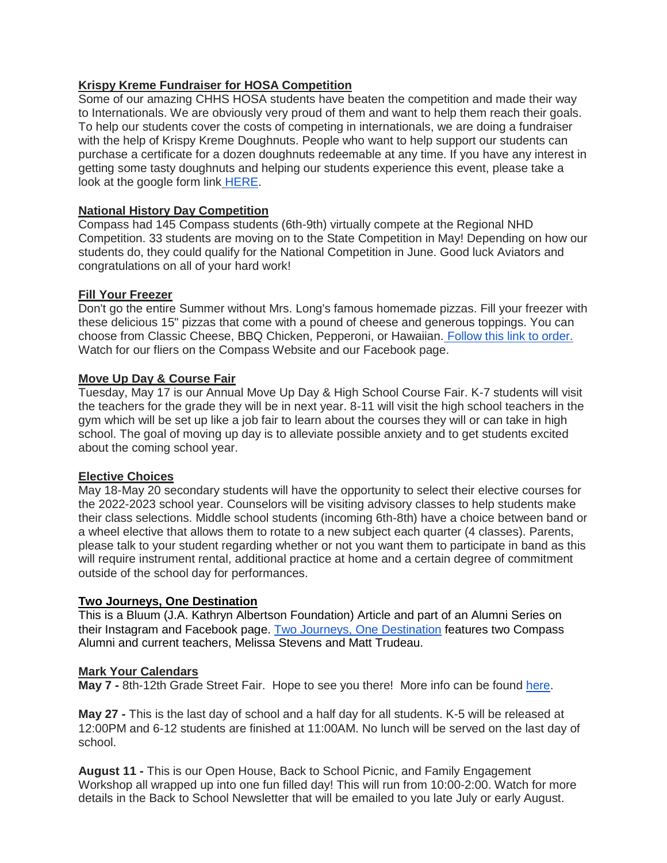# **Krispy Kreme Fundraiser for HOSA Competition**

Some of our amazing CHHS HOSA students have beaten the competition and made their way to Internationals. We are obviously very proud of them and want to help them reach their goals. To help our students cover the costs of competing in internationals, we are doing a fundraiser with the help of Krispy Kreme Doughnuts. People who want to help support our students can purchase a certificate for a dozen doughnuts redeemable at any time. If you have any interest in getting some tasty doughnuts and helping our students experience this event, please take a look at the google form link [HERE.](https://docs.google.com/forms/d/e/1FAIpQLScJexhvnArWFjDwsp1l8O3lsh1II5bNE2ujL1kluYohGMnmPw/viewform)

## **National History Day Competition**

Compass had 145 Compass students (6th-9th) virtually compete at the Regional NHD Competition. 33 students are moving on to the State Competition in May! Depending on how our students do, they could qualify for the National Competition in June. Good luck Aviators and congratulations on all of your hard work!

### **Fill Your Freezer**

Don't go the entire Summer without Mrs. Long's famous homemade pizzas. Fill your freezer with these delicious 15" pizzas that come with a pound of cheese and generous toppings. You can choose from Classic Cheese, BBQ Chicken, Pepperoni, or Hawaiian. [Follow this link to order.](https://forms.gle/Yaw6BHVAQxGCU1XB7) Watch for our fliers on the Compass Website and our Facebook page.

### **Move Up Day & Course Fair**

Tuesday, May 17 is our Annual Move Up Day & High School Course Fair. K-7 students will visit the teachers for the grade they will be in next year. 8-11 will visit the high school teachers in the gym which will be set up like a job fair to learn about the courses they will or can take in high school. The goal of moving up day is to alleviate possible anxiety and to get students excited about the coming school year.

## **Elective Choices**

May 18-May 20 secondary students will have the opportunity to select their elective courses for the 2022-2023 school year. Counselors will be visiting advisory classes to help students make their class selections. Middle school students (incoming 6th-8th) have a choice between band or a wheel elective that allows them to rotate to a new subject each quarter (4 classes). Parents, please talk to your student regarding whether or not you want them to participate in band as this will require instrument rental, additional practice at home and a certain degree of commitment outside of the school day for performances.

#### **Two Journeys, One Destination**

This is a Bluum (J.A. Kathryn Albertson Foundation) Article and part of an Alumni Series on their Instagram and Facebook page. [Two Journeys, One Destination](https://www.bluum.org/two-journeys-one-destination/) features two Compass Alumni and current teachers, Melissa Stevens and Matt Trudeau.

#### **Mark Your Calendars**

**May 7 -** 8th-12th Grade Street Fair. Hope to see you there! More info can be found [here.](https://drive.google.com/file/d/10DMW0DsBADv3V2pa0glf9ColP9MwqUo1/view?usp=sharing)

**May 27 -** This is the last day of school and a half day for all students. K-5 will be released at 12:00PM and 6-12 students are finished at 11:00AM. No lunch will be served on the last day of school.

**August 11 -** This is our Open House, Back to School Picnic, and Family Engagement Workshop all wrapped up into one fun filled day! This will run from 10:00-2:00. Watch for more details in the Back to School Newsletter that will be emailed to you late July or early August.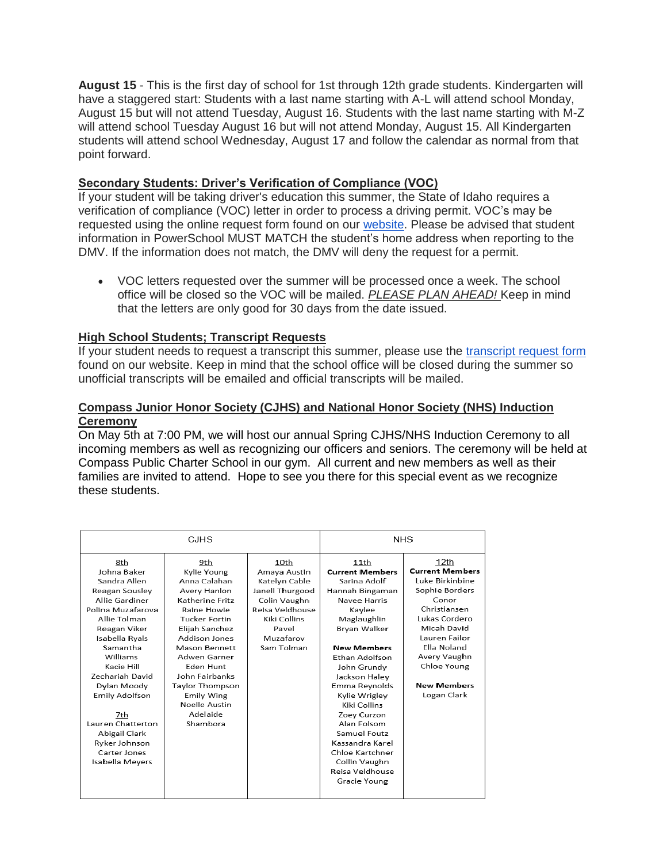**August 15** - This is the first day of school for 1st through 12th grade students. Kindergarten will have a staggered start: Students with a last name starting with A-L will attend school Monday, August 15 but will not attend Tuesday, August 16. Students with the last name starting with M-Z will attend school Tuesday August 16 but will not attend Monday, August 15. All Kindergarten students will attend school Wednesday, August 17 and follow the calendar as normal from that point forward.

# **Secondary Students: Driver's Verification of Compliance (VOC)**

If your student will be taking driver's education this summer, the State of Idaho requires a verification of compliance (VOC) letter in order to process a driving permit. VOC's may be requested using the online request form found on our [website.](https://docs.google.com/forms/d/e/1FAIpQLSda1fV0PELocTlUdzEskB5TCsFsAbTWnFVESaqBMB6-sJHZHQ/viewform) Please be advised that student information in PowerSchool MUST MATCH the student's home address when reporting to the DMV. If the information does not match, the DMV will deny the request for a permit.

 VOC letters requested over the summer will be processed once a week. The school office will be closed so the VOC will be mailed. *PLEASE PLAN AHEAD!* Keep in mind that the letters are only good for 30 days from the date issued.

## **High School Students; Transcript Requests**

If your student needs to request a transcript this summer, please use the [transcript request form](https://docs.google.com/forms/d/e/1FAIpQLSc7dQ3npOGtGnBwRL9uzcSQs3_BNeKAACcQ9v_N6ZAbqeWzMg/viewform) found on our website. Keep in mind that the school office will be closed during the summer so unofficial transcripts will be emailed and official transcripts will be mailed.

### **Compass Junior Honor Society (CJHS) and National Honor Society (NHS) Induction Ceremony**

On May 5th at 7:00 PM, we will host our annual Spring CJHS/NHS Induction Ceremony to all incoming members as well as recognizing our officers and seniors. The ceremony will be held at Compass Public Charter School in our gym. All current and new members as well as their families are invited to attend. Hope to see you there for this special event as we recognize these students.

| CJHS                                                                                                                                                                                                                                                                                        |                                                                                                                                                                                                                                                                                           |                                                                                                                                                 | NHS.                                                                                                                                                                                                                                                                                               |                                                                                                                                                                                                                                  |
|---------------------------------------------------------------------------------------------------------------------------------------------------------------------------------------------------------------------------------------------------------------------------------------------|-------------------------------------------------------------------------------------------------------------------------------------------------------------------------------------------------------------------------------------------------------------------------------------------|-------------------------------------------------------------------------------------------------------------------------------------------------|----------------------------------------------------------------------------------------------------------------------------------------------------------------------------------------------------------------------------------------------------------------------------------------------------|----------------------------------------------------------------------------------------------------------------------------------------------------------------------------------------------------------------------------------|
| 8th<br>Johna Baker<br>Sandra Allen<br>Reagan Sousley<br>Allie Gardiner<br>Polina Muzafarova<br>Allie Tolman<br>Reagan Viker<br>Isabella Ryals<br>Samantha<br>Williams<br>Kacie Hill<br>Zechariah David<br>Dylan Moody<br><b>Emily Adolfson</b><br>7th<br>Lauren Chatterton<br>Abigail Clark | 9th<br>Kylie Young<br>Anna Calahan<br>Avery Hanlon<br>Katherine Fritz<br>Raine Howie<br><b>Tucker Fortin</b><br>Elijah Sanchez<br>Addison Jones<br>Mason Bennett<br>Adwen Garner<br>Eden Hunt<br>John Fairbanks<br>Taylor Thompson<br>Emily Wing<br>Noelle Austin<br>Adelaide<br>Shambora | 10th<br>Amaya Austin<br>Katelyn Cable<br>Janell Thurgood<br>Colin Vaughn<br>Reisa Veldhouse<br>Kiki Collins<br>Pavel<br>Muzafarov<br>Sam Tolman | 11th<br><b>Current Members</b><br>Sarina Adolf<br>Hannah Bingaman<br>Navee Harris<br>Kaylee<br>Maglaughlin<br>Bryan Walker<br><b>New Members</b><br>Ethan Adolfson<br>John Grundy<br>Jackson Haley<br>Emma Reynolds<br>Kylie Wrigley<br>Kiki Collins<br>Zoey Curzon<br>Alan Folsom<br>Samuel Foutz | 12th<br><b>Current Members</b><br>Luke Birkinbine<br>Sophie Borders<br>Conor<br>Christiansen<br>Lukas Cordero<br>Micah David<br>Lauren Failor<br>Ella Noland<br>Avery Vaughn<br>Chloe Young<br><b>New Members</b><br>Logan Clark |
| Ryker Johnson<br>Carter Jones<br>Isabella Meyers                                                                                                                                                                                                                                            |                                                                                                                                                                                                                                                                                           |                                                                                                                                                 | Kassandra Karel<br>Chloe Kartchner<br>Collin Vaughn<br>Reisa Veldhouse<br>Gracie Young                                                                                                                                                                                                             |                                                                                                                                                                                                                                  |